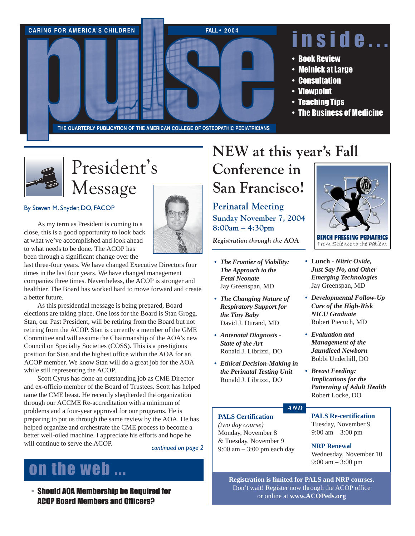



# President's Message

By Steven M. Snyder, DO, FACOP

As my term as President is coming to a close, this is a good opportunity to look back at what we've accomplished and look ahead to what needs to be done. The ACOP has been through a significant change over the

last three-four years. We have changed Executive Directors four times in the last four years. We have changed management companies three times. Nevertheless, the ACOP is stronger and healthier. The Board has worked hard to move forward and create a better future.

As this presidential message is being prepared, Board elections are taking place. One loss for the Board is Stan Grogg. Stan, our Past President, will be retiring from the Board but not retiring from the ACOP. Stan is currently a member of the GME Committee and will assume the Chairmanship of the AOA's new Council on Specialty Societies (COSS). This is a prestigious position for Stan and the highest office within the AOA for an ACOP member. We know Stan will do a great job for the AOA while still representing the ACOP.

Scott Cyrus has done an outstanding job as CME Director and ex-officio member of the Board of Trustees. Scott has helped tame the CME beast. He recently shepherded the organization through our ACCME Re-accreditation with a minimum of problems and a four-year approval for our programs. He is preparing to put us through the same review by the AOA. He has helped organize and orchestrate the CME process to become a better well-oiled machine. I appreciate his efforts and hope he will continue to serve the ACOP.

*continued on page 2*

## on the web...

• Should AOA Membership be Required for ACOP Board Members and Officers?

## **NEW at this year's Fall Conference in**

**San Francisco!**

**Perinatal Meeting Sunday November 7, 2004 8:00am – 4:30pm**

*Registration through the AOA*

- **•** *The Frontier of Viability: The Approach to the Fetal Neonate* Jay Greenspan, MD
- **•** *The Changing Nature of Respiratory Support for the Tiny Baby* David J. Durand, MD
- **•** *Antenatal Diagnosis - State of the Art* Ronald J. Librizzi, DO
- **•** *Ethical Decision-Making in the Perinatal Testing Unit* Ronald J. Librizzi, DO



- **• Lunch** *Nitric Oxide, Just Say No, and Other Emerging Technologies* Jay Greenspan, MD
- **•** *Developmental Follow-Up Care of the High-Risk NICU Graduate* Robert Piecuch, MD
- **•** *Evaluation and Management of the Jaundiced Newborn* Bobbi Underhill, DO
- **•** *Breast Feeding: Implications for the Patterning of Adult Health* Robert Locke, DO

### *AND*

**PALS Certification** *(two day course)* Monday, November 8 & Tuesday, November 9 9:00 am – 3:00 pm each day **PALS Re-certification** Tuesday, November 9 9:00 am – 3:00 pm

**NRP Renewal** Wednesday, November 10 9:00 am – 3:00 pm

**Registration is limited for PALS and NRP courses.** Don't wait! Register now through the ACOP office or online at **www.ACOPeds.org**

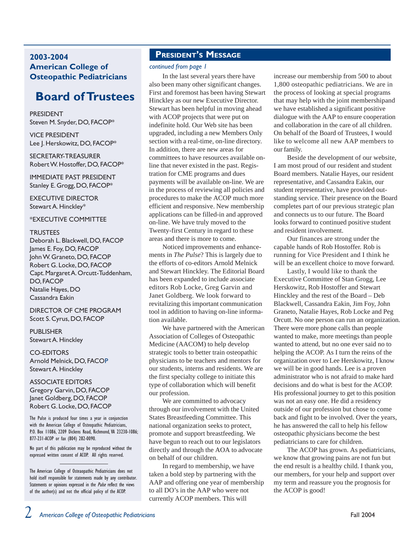#### **2003-2004 American College of Osteopathic Pediatricians**

## **Board of Trustees**

PRESIDENT Steven M. Snyder, DO, FACOP\*

VICE PRESIDENT Lee J. Herskowitz, DO, FACOP\*

SECRETARY-TREASURER Robert W. Hostoffer, DO, FACOP\*

IMMEDIATE PAST PRESIDENT Stanley E. Grogg, DO, FACOP\*

EXECUTIVE DIRECTOR Stewart A. Hinckley\*

#### \*EXECUTIVE COMMITTEE

#### **TRUSTEES**

Deborah L. Blackwell, DO, FACOP James E. Foy, DO, FACOP John W. Graneto, DO, FACOP Robert G. Locke, DO, FACOP Capt. Margaret A. Orcutt-Tuddenham, DO, FACOP Natalie Hayes, DO Cassandra Eakin

DIRECTOR OF CME PROGRAM Scott S. Cyrus, DO, FACOP

PUBLISHER Stewart A. Hinckley

CO-EDITORS Arnold Melnick, DO, FACOP Stewart A. Hinckley

ASSOCIATE EDITORS Gregory Garvin, DO, FACOP Janet Goldberg, DO, FACOP Robert G. Locke, DO, FACOP

The Pulse is produced four times a year in conjunction with the American College of Osteopathic Pediatricians, P.O. Box 11086, 2209 Dickens Road, Richmond, VA 23230-1086; 877-231-ACOP or fax (804) 282-0090.

No part of this publication may be reproduced without the expressed written consent of ACOP. All rights reserved.

#### **PRESIDENT'S MESSAGE**

#### *continued from page 1*

In the last several years there have also been many other significant changes. First and foremost has been having Stewart Hinckley as our new Executive Director. Stewart has been helpful in moving ahead with ACOP projects that were put on indefinite hold. Our Web site has been upgraded, including a new Members Only section with a real-time, on-line directory. In addition, there are new areas for committees to have resources available online that never existed in the past. Registration for CME programs and dues payments will be available on-line. We are in the process of reviewing all policies and procedures to make the ACOP much more efficient and responsive. New membership applications can be filled-in and approved on-line. We have truly moved to the Twenty-first Century in regard to these areas and there is more to come.

Noticed improvements and enhancements in *The Pulse*? This is largely due to the efforts of co-editors Arnold Melnick and Stewart Hinckley. The Editorial Board has been expanded to include associate editors Rob Locke, Greg Garvin and Janet Goldberg. We look forward to revitalizing this important communication tool in addition to having on-line information available.

We have partnered with the American Association of Colleges of Osteopathic Medicine (AACOM) to help develop strategic tools to better train osteopathic physicians to be teachers and mentors for our students, interns and residents. We are the first specialty college to initiate this type of collaboration which will benefit our profession.

We are committed to advocacy through our involvement with the United States Breastfeeding Committee. This national organization seeks to protect, promote and support breastfeeding. We have begun to reach out to our legislators directly and through the AOA to advocate on behalf of our children.

In regard to membership, we have taken a bold step by partnering with the AAP and offering one year of membership to all DO's in the AAP who were not currently ACOP members. This will

increase our membership from 500 to about 1,800 osteopathic pediatricians. We are in the process of looking at special programs that may help with the joint membershipand we have established a significant positive dialogue with the AAP to ensure cooperation and collaboration in the care of all children. On behalf of the Board of Trustees, I would like to welcome all new AAP members to our family.

Beside the development of our website, I am most proud of our resident and student Board members. Natalie Hayes, our resident representative, and Cassandra Eakin, our student representative, have provided outstanding service. Their presence on the Board completes part of our previous strategic plan and connects us to our future. The Board looks forward to continued positive student and resident involvement.

Our finances are strong under the capable hands of Rob Hostoffer. Rob is running for Vice President and I think he will be an excellent choice to move forward.

Lastly, I would like to thank the Executive Committee of Stan Grogg, Lee Herskowitz, Rob Hostoffer and Stewart Hinckley and the rest of the Board – Deb Blackwell, Cassandra Eakin, Jim Foy, John Graneto, Natalie Hayes, Rob Locke and Peg Orcutt. No one person can run an organization. There were more phone calls than people wanted to make, more meetings than people wanted to attend, but no one ever said no to helping the ACOP. As I turn the reins of the organization over to Lee Herskowitz, I know we will be in good hands. Lee is a proven administrator who is not afraid to make hard decisions and do what is best for the ACOP. His professional journey to get to this position was not an easy one. He did a residency outside of our profession but chose to come back and fight to be involved. Over the years, he has answered the call to help his fellow osteopathic physicians become the best pediatricians to care for children.

The ACOP has grown. As pediatricians, we know that growing pains are not fun but the end result is a healthy child. I thank you, our members, for your help and support over my term and reassure you the prognosis for the ACOP is good!

The American College of Osteaopathic Pediatricians does not hold itself responsible for statements made by any contributor. Statements or opinions expressed in the *Pulse* reflect the views of the author(s) and not the official policy of the ACOP.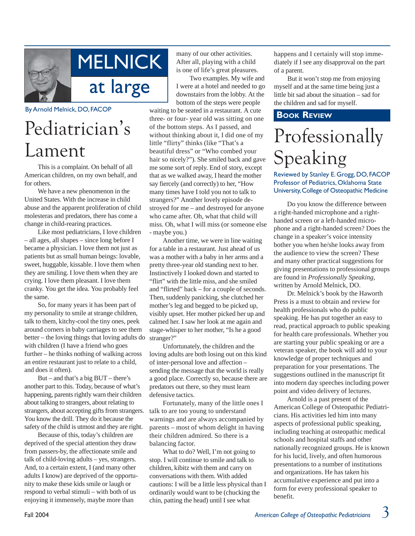

#### By Arnold Melnick, DO, FACOP

# Pediatrician's Lament

This is a complaint. On behalf of all American children, on my own behalf, and for others.

We have a new phenomenon in the United States. With the increase in child abuse and the apparent proliferation of child molesteras and predators, there has come a change in child-rearing practices.

Like most pediatricians, I love children – all ages, all shapes – since long before I became a physician. I love them not just as patients but as small human beings: lovable, sweet, huggable, kissable. I love them when they are smiling. I love them when they are crying. I love them pleasant. I love them cranky. You get the idea. You probably feel the same.

So, for many years it has been part of my personality to smile at strange children, talk to them, kitchy-cool the tiny ones, peek around corners in baby carriages to see them better – the loving things that loving adults do with children (I have a friend who goes further – he thinks nothing of walking across an entire restaurant just to relate to a child, and does it often).

But – and that's a big BUT – there's another part to this. Today, because of what's happening, parents rightly warn their children about talking to strangers, about relating to strangers, about accepting gifts from strangers. You know the drill. They do it because the safety of the child is utmost and they are right.

Because of this, today's children are deprived of the special attention they draw from passers-by, the affectionate smile and talk of child-loving adults – yes, strangers. And, to a certain extent, I (and many other adults I know) are deprived of the opportunity to make these kids smile or laugh or respond to verbal stimuli – with both of us enjoying it immensely, maybe more than

many of our other activities. After all, playing with a child is one of life's great pleasures.

Two examples. My wife and I were at a hotel and needed to go downstairs from the lobby. At the bottom of the steps were people

waiting to be seated in a restaurant. A cute three- or four- year old was sitting on one of the bottom steps. As I passed, and without thinking about it, I did one of my little "flirty" thinks (like "That's a beautiful dress" or "Who combed your hair so nicely?"). She smiled back and gave me some sort of reply. End of story, except that as we walked away, I heard the mother say fiercely (and correctly) to her, "How many times have I told you not to talk to strangers?" Another lovely episode destroyed for me – and destroyed for anyone who came after. Oh, what that child will miss. Oh, what I will miss (or someone else - maybe you.)

Another time, we were in line waiting for a table in a restaurant. Just ahead of us was a mother with a baby in her arms and a pretty three-year old standing next to her. Instinctively I looked down and started to "flirt" with the little miss, and she smiled and "flirted" back – for a couple of seconds. Then, suddenly panicking, she clutched her mother's leg and begged to be picked up, visibly upset. Her mother picked her up and calmed her. I saw her look at me again and stage-whisper to her mother, "Is he a good stranger?"

Unfortunately, the children and the loving adults are both losing out on this kind of inter-personal love and affection – sending the message that the world is really a good place. Correctly so, because there are predators out there, so they must learn defensive tactics.

Fortunately, many of the little ones I talk to are too young to understand warnings and are always accompanied by parents – most of whom delight in having their children admired. So there is a balancing factor.

What to do? Well, I'm not going to stop. I will continue to smile and talk to children, kibitz with them and carry on conversations with them. With added cautions: I will be a little less physical than I ordinarily would want to be (chucking the chin, patting the head) until I see what

happens and I certainly will stop immediately if I see any disapproval on the part of a parent.

But it won't stop me from enjoying myself and at the same time being just a little bit sad about the situation – sad for the children and sad for myself.

#### **BOOK REVIEW**

# Professionally Speaking

Reviewed by Stanley E. Grogg, DO, FACOP Professor of Pediatrics, Oklahoma State University, College of Osteopathic Medicine

Do you know the difference between a right-handed microphone and a righthanded screen or a left-handed microphone and a right-handed screen? Does the change in a speaker's voice intensity bother you when he/she looks away from the audience to view the screen? These and many other practical suggestions for giving presentations to professional groups are found in *Professionally Speaking,* written by Arnold Melnick, DO.

Dr. Melnick's book by the Haworth Press is a must to obtain and review for health professionals who do public speaking. He has put together an easy to read, practical approach to public speaking for health care professionals. Whether you are starting your public speaking or are a veteran speaker, the book will add to your knowledge of proper techniques and preparation for your presentations. The suggestions outlined in the manuscript fit into modern day speeches including power point and video delivery of lectures.

Arnold is a past present of the American College of Osteopathic Pediatricians. His activities led him into many aspects of professional public speaking, including teaching at osteopathic medical schools and hospital staffs and other nationally recognized groups. He is known for his lucid, lively, and often humorous presentations to a number of institutions and organizations. He has taken his accumulative experience and put into a form for every professional speaker to benefit.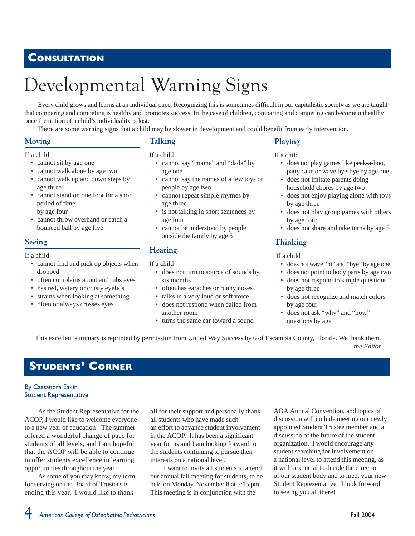## **CONSULTATION**

# Developmental Warning Signs

Every child grows and learns at an individual pace. Recognizing this is sometimes difficult in our capitalistic society as we are taught that comparing and competing is healthy and promotes success. In the case of children, comparing and competing can become unhealthy once the notion of a child's individuality is lost.

There are some warning signs that a child may be slower in development and could benefit from early intervention.

#### **Moving**

#### If a child

- cannot sit by age one
- cannot walk alone by age two
- cannot walk up and down steps by age three
- cannot stand on one foot for a short period of time by age four
- cannot throw overhand or catch a bounced ball by age five

#### **Seeing**

#### If a child

- cannot find and pick up objects when dropped
- often complains about and rubs eyes
- has red, watery or crusty eyelids
- strains when looking at something
- often or always crosses eyes

#### **Talking**

#### If a child

- cannot say "mama" and "dada" by age one
- cannot say the names of a few toys or people by age two
- cannot repeat simple rhymes by age three
- is not talking in short sentences by age four
- cannot be understood by people outside the family by age 5

#### **Hearing**

#### If a child

- does not turn to source of sounds by six months
- often has earaches or runny noses
- talks in a very loud or soft voice
- does not respond when called from another room
- turns the same ear toward a sound

#### **Playing**

#### If a child

- does not play games like peek-a-boo, patty cake or wave bye-bye by age one
- does not imitate parents doing household chores by age two
- does not enjoy playing alone with toys by age three
- does not play group games with others by age four
- does not share and take turns by age 5

#### **Thinking**

#### If a child

- does not wave "hi" and "bye" by age one
- does not point to body parts by age two does not respond to simple questions
- by age three
- does not recognize and match colors by age four
- does not ask "why" and "how" questions by age

This excellent summary is reprinted by permission from United Way Success by 6 of Escambia County, Florida. We thank them.  *–the Editor*

## **STUDENTS' CORNER**

#### By Cassandra Eakin Student Representative

As the Student Representative for the ACOP, I would like to welcome everyone to a new year of education! The summer offered a wonderful change of pace for students of all levels, and I am hopeful that the ACOP will be able to continue to offer students excellence in learning opportunities throughout the year.

As some of you may know, my term for serving on the Board of Trustees is ending this year. I would like to thank

all for their support and personally thank all students who have made such an effort to advance student involvement in the ACOP. It has been a significant year for us and I am looking forward to the students continuing to pursue their interests on a national level.

I want to invite all students to attend our annual fall meeting for students, to be held on Monday, November 8 at 5:15 pm. This meeting is in conjunction with the

AOA Annual Convention, and topics of discussion will include meeting our newly appointed Student Trustee member and a discussion of the future of the student organization. I would encourage any student searching for involvement on a national level to attend this meeting, as it will be crucial to decide the direction of our student body and to meet your new Student Representative. I look forward to seeing you all there!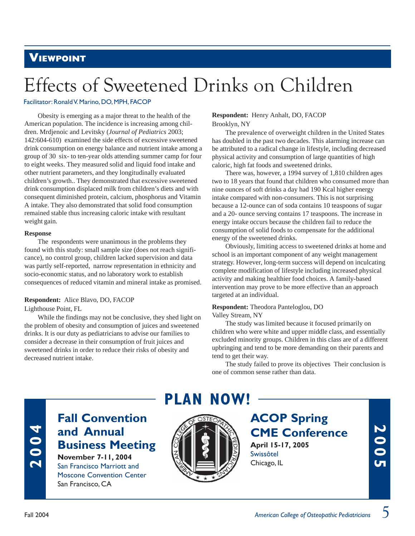## **VIEWPOINT**

# Effects of Sweetened Drinks on Children

#### Facilitator: Ronald V. Marino, DO, MPH, FACOP

Obesity is emerging as a major threat to the health of the American population. The incidence is increasing among children. Mrdjenoic and Levitsky (*Journal of Pediatrics* 2003; 142:604-610) examined the side effects of excessive sweetened drink consumption on energy balance and nutrient intake among a group of 30 six- to ten-year olds attending summer camp for four to eight weeks. They measured solid and liquid food intake and other nutrient parameters, and they longitudinally evaluated children's growth.. They demonstrated that excessive sweetened drink consumption displaced milk from children's diets and with consequent diminished protein, calcium, phosphorus and Vitamin A intake. They also demonstrated that solid food consumption remained stable thus increasing caloric intake with resultant weight gain.

#### **Response**

The respondents were unanimous in the problems they found with this study: small sample size (does not reach significance), no control group, children lacked supervision and data was partly self-reported, narrow representation in ethnicity and socio-economic status, and no laboratory work to establish consequences of reduced vitamin and mineral intake as promised.

#### **Respondent:** Alice Blavo, DO, FACOP

Lighthouse Point, FL

While the findings may not be conclusive, they shed light on the problem of obesity and consumption of juices and sweetened drinks. It is our duty as pediatricians to advise our families to consider a decrease in their consumption of fruit juices and sweetened drinks in order to reduce their risks of obesity and decreased nutrient intake.

#### **Respondent:** Henry Anhalt, DO, FACOP Brooklyn, NY

The prevalence of overweight children in the United States has doubled in the past two decades. This alarming increase can be attributed to a radical change in lifestyle, including decreased physical activity and consumption of large quantities of high caloric, high fat foods and sweetened drinks.

There was, however, a 1994 survey of 1,810 children ages two to 18 years that found that children who consumed more than nine ounces of soft drinks a day had 190 Kcal higher energy intake compared with non-consumers. This is not surprising because a 12-ounce can of soda contains 10 teaspoons of sugar and a 20- ounce serving contains 17 teaspoons. The increase in energy intake occurs because the children fail to reduce the consumption of solid foods to compensate for the additional energy of the sweetened drinks.

Obviously, limiting access to sweetened drinks at home and school is an important component of any weight management strategy. However, long-term success will depend on inculcating complete modification of lifestyle including increased physical activity and making healthier food choices. A family-based intervention may prove to be more effective than an approach targeted at an individual.

#### **Respondent:** Theodora Panteloglou, DO Valley Stream, NY

The study was limited because it focused primarily on children who were white and upper middle class, and essentially excluded minority groups. Children in this class are of a different upbringing and tend to be more demanding on their parents and tend to get their way.

The study failed to prove its objectives Their conclusion is one of common sense rather than data.

# **2004**

## **Fall Convention and Annual Business Meeting November 7-11, 2004**

San Francisco Marriott and Moscone Convention Center San Francisco, CA





**ACOP Spring CME Conference April 15-17, 2005** Swissôtel Chicago, IL

**2005**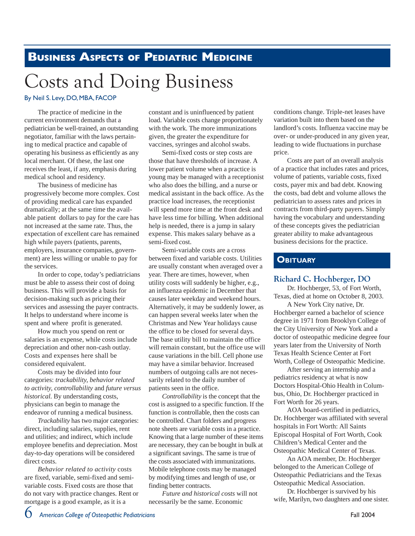## **BUSINESS ASPECTS OF PEDIATRIC MEDICINE**

# **Costs and Doing Business**

#### By Neil S. Levy, DO, MBA, FACOP

The practice of medicine in the current environment demands that a pediatrician be well-trained, an outstanding negotiator, familiar with the laws pertaining to medical practice and capable of operating his business as efficiently as any local merchant. Of these, the last one receives the least, if any, emphasis during medical school and residency.

The business of medicine has progressively become more complex. Cost of providing medical care has expanded dramatically; at the same time the available patient dollars to pay for the care has not increased at the same rate. Thus, the expectation of excellent care has remained high while payers (patients, parents, employers, insurance companies, government) are less willing or unable to pay for the services.

In order to cope, today's pediatricians must be able to assess their cost of doing business. This will provide a basis for decision-making such as pricing their services and assessing the payer contracts. It helps to understand where income is spent and where profit is generated.

How much you spend on rent or salaries is an expense, while costs include depreciation and other non-cash outlay. Costs and expenses here shall be considered equivalent.

Costs may be divided into four categories: *trackability, behavior related to activity, controllability* and *future versus historical.* By understanding costs, physicians can begin to manage the endeavor of running a medical business.

*Trackability* has two major categories: direct, including salaries, supplies, rent and utilities; and indirect, which include employee benefits and depreciation. Most day-to-day operations will be considered direct costs.

*Behavior related to activity* costs are fixed, variable, semi-fixed and semivariable costs. Fixed costs are those that do not vary with practice changes. Rent or mortgage is a good example, as it is a

constant and is uninfluenced by patient load. Variable costs change proportionately with the work. The more immunizations given, the greater the expenditure for vaccines, syringes and alcohol swabs.

Semi-fixed costs or step costs are those that have thresholds of increase. A lower patient volume when a practice is young may be managed with a receptionist who also does the billing, and a nurse or medical assistant in the back office. As the practice load increases, the receptionist will spend more time at the front desk and have less time for billing. When additional help is needed, there is a jump in salary expense. This makes salary behave as a semi-fixed cost.

Semi-variable costs are a cross between fixed and variable costs. Utilities are usually constant when averaged over a year. There are times, however, when utility costs will suddenly be higher, e.g., an influenza epidemic in December that causes later weekday and weekend hours. Alternatively, it may be suddenly lower, as can happen several weeks later when the Christmas and New Year holidays cause the office to be closed for several days. The base utility bill to maintain the office will remain constant, but the office use will cause variations in the bill. Cell phone use may have a similar behavior. Increased numbers of outgoing calls are not necessarily related to the daily number of patients seen in the office.

*Controllability* is the concept that the cost is assigned to a specific function. If the function is controllable, then the costs can be controlled. Chart folders and progress note sheets are variable costs in a practice. Knowing that a large number of these items are necessary, they can be bought in bulk at a significant savings. The same is true of the costs associated with immunizations. Mobile telephone costs may be managed by modifying times and length of use, or finding better contracts.

*Future and historical costs* will not necessarily be the same. Economic

conditions change. Triple-net leases have variation built into them based on the landlord's costs. Influenza vaccine may be over- or under-produced in any given year, leading to wide fluctuations in purchase price.

Costs are part of an overall analysis of a practice that includes rates and prices, volume of patients, variable costs, fixed costs, payer mix and bad debt. Knowing the costs, bad debt and volume allows the pediatrician to assess rates and prices in contracts from third-party payers. Simply having the vocabulary and understanding of these concepts gives the pediatrician greater ability to make advantageous business decisions for the practice.

#### **OBITUARY**

#### **Richard C. Hochberger, DO**

Dr. Hochberger, 53, of Fort Worth, Texas, died at home on October 8, 2003.

A New York City native, Dr. Hochberger earned a bachelor of science degree in 1971 from Brooklyn College of the City University of New York and a doctor of osteopathic medicine degree four years later from the University of North Texas Health Science Center at Fort Worth, College of Osteopathic Medicine.

After serving an internship and a pediatrics residency at what is now Doctors Hospital-Ohio Health in Columbus, Ohio, Dr. Hochberger practiced in Fort Worth for 26 years.

AOA board-certified in pediatrics, Dr. Hochberger was affiliated with several hospitals in Fort Worth: All Saints Episcopal Hospital of Fort Worth, Cook Children's Medical Center and the Osteopathic Medical Center of Texas.

An AOA member, Dr. Hochberger belonged to the American College of Osteopathic Pediatricians and the Texas Osteopathic Medical Association.

Dr. Hochberger is survived by his wife, Marilyn, two daughters and one sister.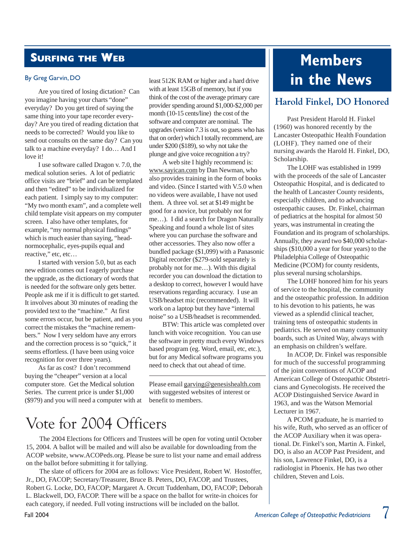## **SURFING THE WEB**

#### By Greg Garvin, DO

Are you tired of losing dictation? Can you imagine having your charts "done" everyday? Do you get tired of saying the same thing into your tape recorder everyday? Are you tired of reading dictation that needs to be corrected? Would you like to send out consults on the same day? Can you talk to a machine everyday? I do… And I love it!

I use software called Dragon v. 7.0, the medical solution series. A lot of pediatric office visits are "brief" and can be templated and then "edited" to be individualized for each patient. I simply say to my computer: "My two month exam", and a complete well child template visit appears on my computer screen. I also have other templates, for example, "my normal physical findings" which is much easier than saying, "headnormocephalic, eyes-pupils equal and reactive," etc, etc…

I started with version 5.0, but as each new edition comes out I eagerly purchase the upgrade, as the dictionary of words that is needed for the software only gets better. People ask me if it is difficult to get started. It involves about 30 minutes of reading the provided text to the "machine." At first some errors occur, but be patient, and as you correct the mistakes the "machine remembers." Now I very seldom have any errors and the correction process is so "quick," it seems effortless. (I have been using voice recognition for over three years).

As far as cost? I don't recommend buying the "cheaper" version at a local computer store. Get the Medical solution Series. The current price is under \$1,000 (\$979) and you will need a computer with at least 512K RAM or higher and a hard drive with at least 15GB of memory, but if you think of the cost of the average primary care provider spending around \$1,000-\$2,000 per month (10-15 cents/line) the cost of the software and computer are nominal. The upgrades (version 7.3 is out, so guess who has that on order) which I totally recommend, are under \$200 (\$189), so why not take the plunge and give voice recognition a try?

A web site I highly recommend is: www.sayican.com by Dan Newman, who also provides training in the form of books and video. (Since I started with V.5.0 when no videos were available, I have not used them. A three vol. set at \$149 might be good for a novice, but probably not for me…). I did a search for Dragon Naturally Speaking and found a whole list of sites where you can purchase the software and other accessories. They also now offer a bundled package (\$1,099) with a Panasonic Digital recorder (\$279-sold separately is probably not for me…). With this digital recorder you can download the dictation to a desktop to correct, however I would have reservations regarding accuracy. I use an USB/headset mic (recommended). It will work on a laptop but they have "internal noise" so a USB/headset is recommended.

BTW: This article was completed over lunch with voice recognition. You can use the software in pretty much every Windows based program (eg. Word, email, etc, etc.), but for any Medical software programs you need to check that out ahead of time.

Please email garving@genesishealth.com with suggested websites of interest or benefit to members.

## Vote for 2004 Officers

The 2004 Elections for Officers and Trustees will be open for voting until October 15, 2004. A ballot will be mailed and will also be available for downloading from the ACOP website, www.ACOPeds.org. Please be sure to list your name and email address on the ballot before submitting it for tallying.

The slate of officers for 2004 are as follows: Vice President, Robert W. Hostoffer, Jr., DO, FACOP; Secretary/Treasurer, Bruce B. Peters, DO, FACOP, and Trustees, Robert G. Locke, DO, FACOP; Margaret A. Orcutt Tuddenham, DO, FACOP; Deborah L. Blackwell, DO, FACOP. There will be a space on the ballot for write-in choices for each category, if needed. Full voting instructions will be included on the ballot.

## **Members in the News**

#### **Harold Finkel, DO Honored**

Past President Harold H. Finkel (1960) was honored recently by the Lancaster Osteopathic Health Foundation (LOHF). They named one of their nursing awards the Harold H. Finkel, DO, Scholarship.

The LOHF was established in 1999 with the proceeds of the sale of Lancaster Osteopathic Hospital, and is dedicated to the health of Lancaster County residents, especially children, and to advancing osteopathic causes. Dr. Finkel, chairman of pediatrics at the hospital for almost 50 years, was instrumental in creating the Foundation and its program of scholarships. Annually, they award two \$40,000 scholarships (\$10,000 a year for four years) to the Philadelphia College of Osteopathic Medicine (PCOM) for county residents, plus several nursing scholarships.

The LOHF honored him for his years of service to the hospital, the community and the osteopathic profession. In addition to his devotion to his patients, he was viewed as a splendid clinical teacher, training tens of osteopathic students in pediatrics. He served on many community boards, such as United Way, always with an emphasis on children's welfare.

In ACOP, Dr. Finkel was responsible for much of the successful programming of the joint conventions of ACOP and American College of Osteopathic Obstetricians and Gynecologists. He received the ACOP Distinguished Service Award in 1963, and was the Watson Memorial Lecturer in 1967.

A PCOM graduate, he is married to his wife, Ruth, who served as an officer of the ACOP Auxiliary when it was operational. Dr. Finkel's son, Martin A. Finkel, DO, is also an ACOP Past President, and his son, Lawrence Finkel, DO, is a radiologist in Phoenix. He has two other children, Steven and Lois.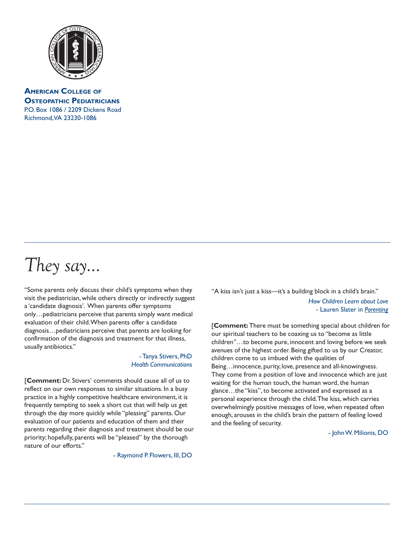

**AMERICAN COLLEGE OF OSTEOPATHIC PEDIATRICIANS** P.O. Box 1086 / 2209 Dickens Road Richmond, VA 23230-1086

# They say...

"Some parents only discuss their child's symptoms when they visit the pediatrician, while others directly or indirectly suggest a 'candidate diagnosis'. When parents offer symptoms only…pediatricians perceive that parents simply want medical evaluation of their child. When parents offer a candidate diagnosis…pediatricians perceive that parents are looking for confirmation of the diagnosis and treatment for that illness, usually antibiotics."

#### - Tanya Stivers, PhD *Health Communications*

[**Comment:** Dr. Stivers' comments should cause all of us to reflect on our own responses to similar situations. In a busy practice in a highly competitive healthcare environment, it is frequently tempting to seek a short cut that will help us get through the day more quickly while "pleasing" parents. Our evaluation of our patients and education of them and their parents regarding their diagnosis and treatment should be our priority; hopefully, parents will be "pleased" by the thorough nature of our efforts."

- Raymond P. Flowers, III, DO

"A kiss isn't just a kiss—it's a building block in a child's brain." *How Children Learn about Love* - Lauren Slater in *Parenting*

[**Comment:** There must be something special about children for our spiritual teachers to be coaxing us to "become as little children"…to become pure, innocent and loving before we seek avenues of the highest order. Being gifted to us by our Creator, children come to us imbued with the qualities of Being…innocence, purity, love, presence and all-knowingness. They come from a position of love and innocence which are just waiting for the human touch, the human word, the human glance…the "kiss", to become activated and expressed as a personal experience through the child. The kiss, which carries overwhelmingly positive messages of love, when repeated often enough, arouses in the child's brain the pattern of feeling loved and the feeling of security.

- John W. Milionis, DO